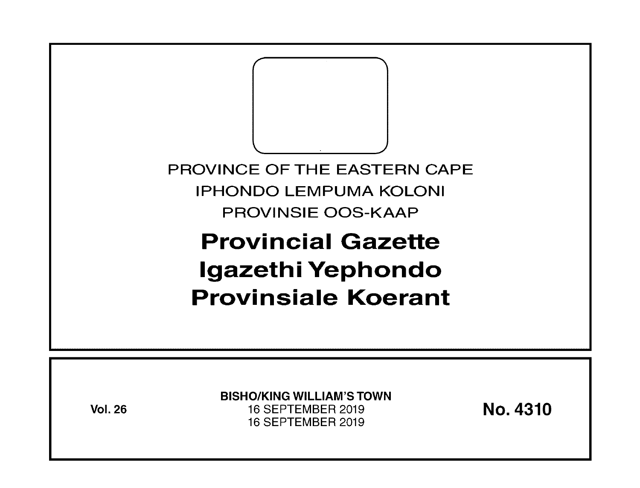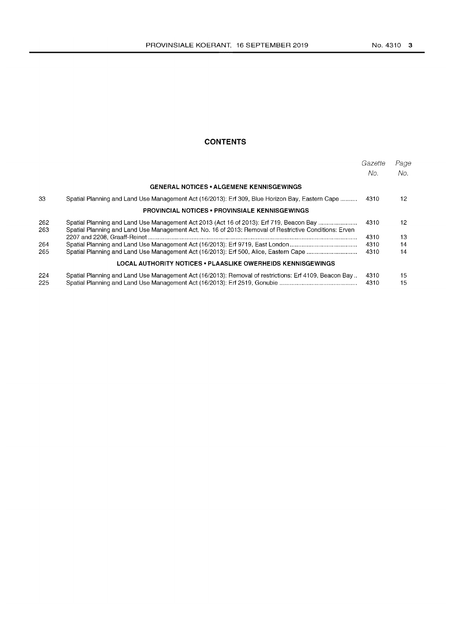#### **CONTENTS**

|            |                                                                                                                                                                                                   | Gazette<br>No. | Page<br>No. |
|------------|---------------------------------------------------------------------------------------------------------------------------------------------------------------------------------------------------|----------------|-------------|
|            | <b>GENERAL NOTICES • ALGEMENE KENNISGEWINGS</b>                                                                                                                                                   |                |             |
| 33         | Spatial Planning and Land Use Management Act (16/2013): Erf 309, Blue Horizon Bay, Eastern Cape                                                                                                   | 4310           | 12.         |
|            | <b>PROVINCIAL NOTICES • PROVINSIALE KENNISGEWINGS</b>                                                                                                                                             |                |             |
| 262<br>263 | Spatial Planning and Land Use Management Act 2013 (Act 16 of 2013): Erf 719, Beacon Bay<br>Spatial Planning and Land Use Management Act, No. 16 of 2013: Removal of Restrictive Conditions: Erven | 4310<br>4310   | 12<br>13    |
| 264<br>265 | Spatial Planning and Land Use Management Act (16/2013): Erf 500, Alice, Eastern Cape                                                                                                              | 4310<br>4310   | 14<br>14    |
|            | LOCAL AUTHORITY NOTICES • PLAASLIKE OWERHEIDS KENNISGEWINGS                                                                                                                                       |                |             |
| 224<br>225 | Spatial Planning and Land Use Management Act (16/2013): Removal of restrictions: Erf 4109, Beacon Bay                                                                                             | 4310<br>4310   | 15<br>15    |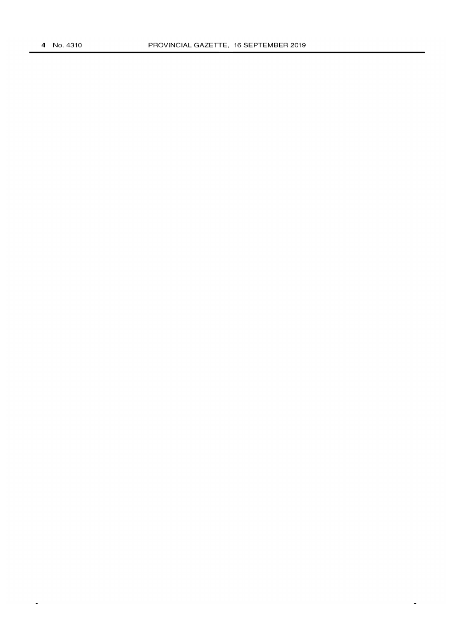$\Box$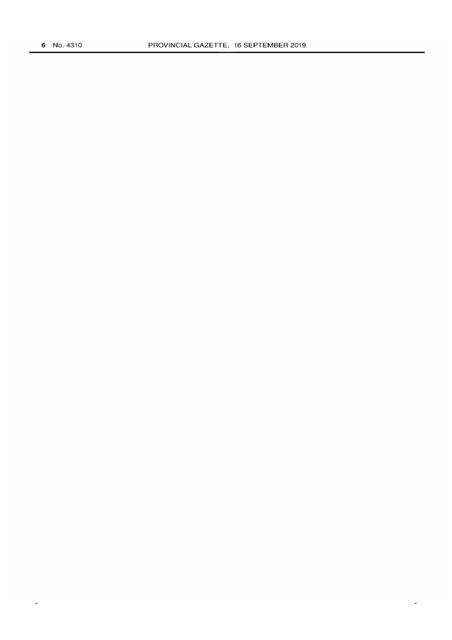$\bar{\mathcal{A}}$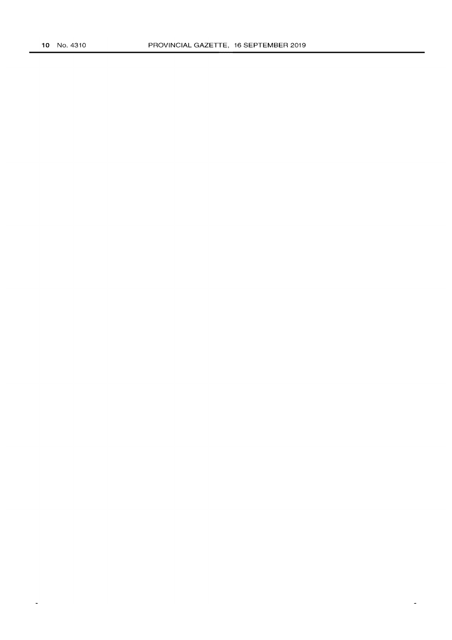$\Box$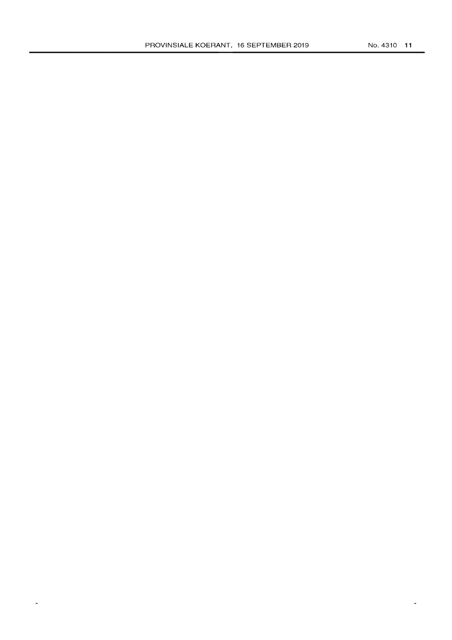$\ddot{\phantom{a}}$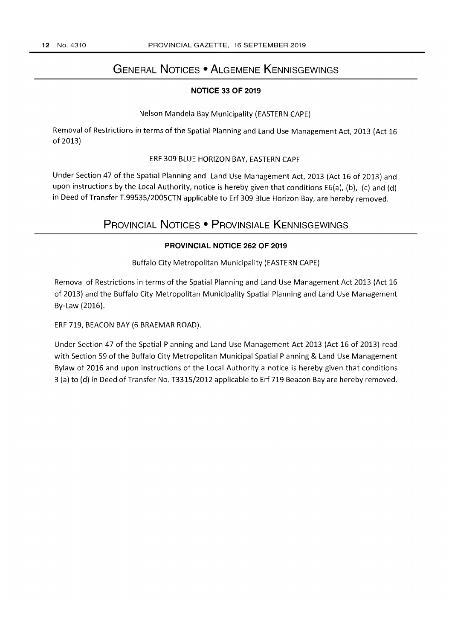## GENERAL NOTICES • ALGEMENE KENNISGEWINGS

#### NOTICE 33 OF 2019

Nelson Mandela Bay Municipality (EASTERN CAPE)

Removal of Restrictions in terms of the Spatial Planning and Land Use Management Act, 2013 (Act 16 of 2013)

ERF 309 BLUE HORIZON BAY, EASTERN CAPE

Under Section 47 of the Spatial Planning and Land Use Management Act, 2013 (Act 16 of 2013) and upon instructions by the Local Authority, notice is hereby given that conditions E6(a), (b), (c) and (d) in Deed of Transfer T.99535/2005CTN applicable to Erf 309 Blue Horizon Bay, are hereby removed.

# PROVINCIAL NOTICES • PROVINSIALE KENNISGEWINGS

#### PROVINCIAL NOTICE 262 OF 2019

Buffalo City Metropolitan Municipality (EASTERN CAPE)

Removal of Restrictions in terms of the Spatial Planning and Land Use Management Act 2013 (Act 16 of 2013) and the Buffalo City Metropolitan Municipality Spatial Planning and Land Use Management By-Law (2016).

ERF 719, BEACON BAY (6 BRAEMAR ROAD).

Under Section 47 of the Spatial Planning and Land Use Management Act 2013 (Act 16 of 2013) read with Section 59 of the Buffalo City Metropolitan Municipal Spatial Planning & Land Use Management Bylaw of 2016 and upon instructions of the Local Authority a notice is hereby given that conditions 3 (a) to (d) in Deed of Transfer No. T3315/2012 applicable to Erf 719 Beacon Bay are hereby removed.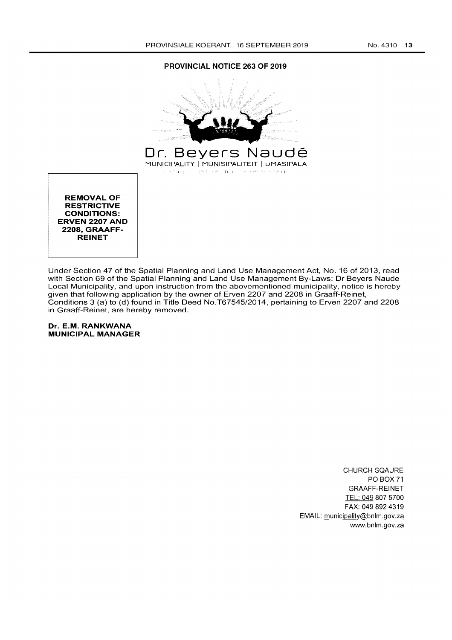**PROVINCIAL NOTICE 263 OF 2019** 



REMOVAL OF **RESTRICTIVE CONDITIONS: ERVEN 2207 AND 2208, GRAAFF-REINET** 

Under Section 47 of the Spatial Planning and Land Use Management Act, No. 16 of 2013, read with Section 69 of the Spatial Planning and Land Use Management By-Laws: Dr Beyers Naude Local Municipality, and upon instruction from the abovementioned municipality, notice is hereby given that following application by the owner of Erven 2207 and 2208 in Graaff-Reinet, Conditions 3 (a) to (d) found in Title Deed NO.T67545/2014, pertaining to Erven 2207 and 2208 in Graaff-Reinet, are hereby removed.

**Dr. E.M. RANKWANA MUNICIPAL MANAGER** 

> CHURCH SQAURE PO BOX 71 GRAAFF-REINET TEL: 049 807 5700 FAX: 0498924319 EMAIL: municipality@bnlm.gov.za www.bnlm.gov.za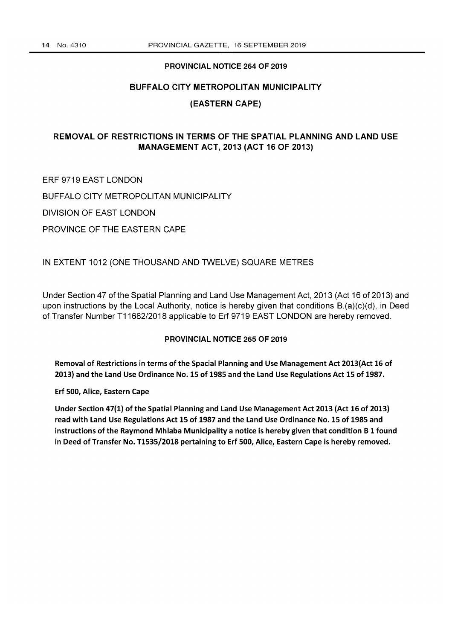#### PROVINCIAL NOTICE 264 OF 2019

#### BUFFALO CITY METROPOLITAN MUNICIPALITY

#### (EASTERN CAPE)

#### REMOVAL OF RESTRICTIONS IN TERMS OF THE SPATIAL PLANNING AND LAND USE MANAGEMENT ACT, 2013 (ACT 16 OF 2013)

ERF 9719 EAST LONDON BUFFALO CITY METROPOLITAN MUNICIPALITY DIVISION OF EAST LONDON PROVINCE OF THE EASTERN CAPE

#### IN EXTENT 1012 (ONE THOUSAND AND TWELVE) SQUARE METRES

Under Section 47 of the Spatial Planning and Land Use Management Act, 2013 (Act 16 of 2013) and upon instructions by the Local Authority, notice is hereby given that conditions B.(a)(c)(d), in Deed of Transfer Number T11682/2018 applicable to Erf 9719 EAST LONDON are hereby removed.

#### PROVINCIAL NOTICE 265 OF 2019

Removal of Restrictions in terms of the Spacial Planning and Use Management Act 2013(Act 16 of 2013) and the Land Use Ordinance No. 15 of 1985 and the Land Use Regulations Act 15 of 1987.

Erf 500, Alice, Eastern Cape

Under Section 47(1) of the Spatial Planning and Land Use Management Act 2013 (Act 16 of 2013) read with Land Use Regulations Act 15 of 1987 and the Land Use Ordinance No. 15 of 1985 and instructions of the Raymond Mhlaba Municipality a notice is hereby given that condition B 1 found in Deed of Transfer No. T1535/2018 pertaining to Erf 500, Alice, Eastern Cape is hereby removed.